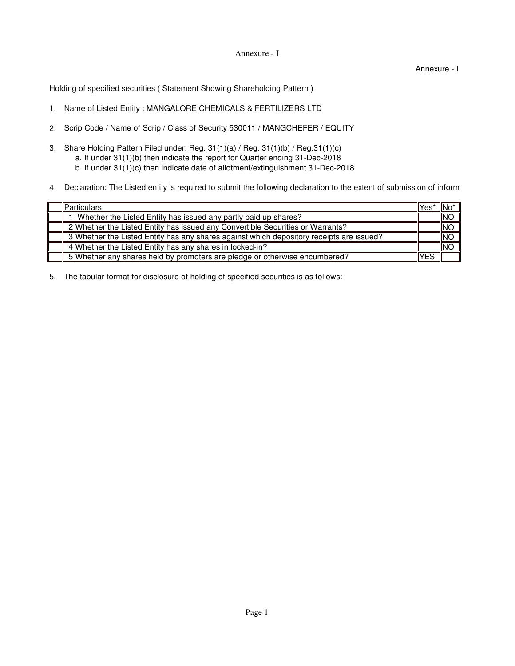## Annexure - I

Annexure - I

Holding of specified securities ( Statement Showing Shareholding Pattern )

- 1. Name of Listed Entity : MANGALORE CHEMICALS & FERTILIZERS LTD
- 2. Scrip Code / Name of Scrip / Class of Security 530011 / MANGCHEFER / EQUITY
- 3. Share Holding Pattern Filed under: Reg. 31(1)(a) / Reg. 31(1)(b) / Reg.31(1)(c) b. If under 31(1)(c) then indicate date of allotment/extinguishment 31-Dec-2018 a. If under 31(1)(b) then indicate the report for Quarter ending 31-Dec-2018
- 4. Declaration: The Listed entity is required to submit the following declaration to the extent of submission of inform

| <b>Particulars</b>                                                                       | llYes' | ⊣lNo*      |
|------------------------------------------------------------------------------------------|--------|------------|
| Whether the Listed Entity has issued any partly paid up shares?                          |        | INO        |
| 2 Whether the Listed Entity has issued any Convertible Securities or Warrants?           |        | <b>INO</b> |
| 3 Whether the Listed Entity has any shares against which depository receipts are issued? |        | INO        |
| 4 Whether the Listed Entity has any shares in locked-in?                                 |        | INC        |
| 5 Whether any shares held by promoters are pledge or otherwise encumbered?               | YES    |            |

5. The tabular format for disclosure of holding of specified securities is as follows:-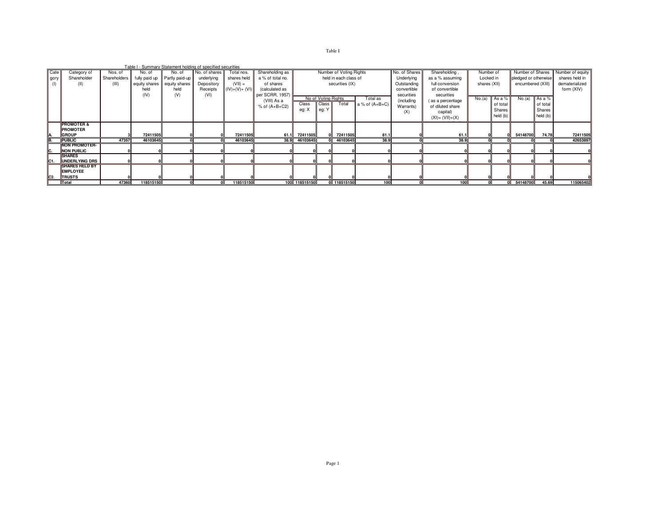Table I

|                |                                                           |                                  |                                    | Table I - Summary Statement holding of specified securities     |                                                       |                                                          |                                                                    |                |                                       |                                                                     |                              |                                                           |                                                                                      |        |                                                               |                                                                    |                                          |           |
|----------------|-----------------------------------------------------------|----------------------------------|------------------------------------|-----------------------------------------------------------------|-------------------------------------------------------|----------------------------------------------------------|--------------------------------------------------------------------|----------------|---------------------------------------|---------------------------------------------------------------------|------------------------------|-----------------------------------------------------------|--------------------------------------------------------------------------------------|--------|---------------------------------------------------------------|--------------------------------------------------------------------|------------------------------------------|-----------|
| Cate<br>gory   | Category of<br>Shareholder<br>(II)                        | Nos. of<br>Shareholders<br>(III) | No. of<br>equity shares   <br>held | No. of<br>fully paid up Partly paid-up<br>equity shares<br>held | No. of shares<br>underlying<br>Depository<br>Receipts | Total nos.<br>shares held<br>$(VII) =$<br>$(IV)+(V)+(V)$ | Shareholding as<br>a % of total no.<br>of shares<br>(calculated as |                |                                       | Number of Voting Rights<br>held in each class of<br>securities (IX) |                              | No. of Shares<br>Underlying<br>Outstanding<br>convertible | Number of<br>Locked in<br>shares (XII)                                               |        | Number of Shares<br>pledged or otherwise<br>encumbered (XIII) | Number of equity<br>shares held in<br>dematerialized<br>form (XIV) |                                          |           |
|                |                                                           |                                  | (IV)                               | (V)                                                             | (VI)                                                  |                                                          | per SCRR, 1957)<br>(VIII) As a<br>$%$ of $(A+B+C2)$                | Class<br>eg: X | No of Voting Rights<br>Class<br>eg: Y | Total                                                               | Total as<br>a % of $(A+B+C)$ | securities<br>(including<br>Warrants)<br>(X)              | securities<br>(as a percentage<br>of diluted share<br>capital)<br>$(XI) = (VII)+(X)$ | No.(a) | As a %<br>of total<br>Shares<br>held (b)                      | No.(a)                                                             | As a %<br>of total<br>Shares<br>held (b) |           |
| A.             | <b>PROMOTER &amp;</b><br><b>PROMOTER</b><br><b>GROUP</b>  |                                  | 72411505                           |                                                                 |                                                       | 72411505                                                 | 61.1                                                               | 72411505       |                                       | 72411505                                                            | 61.1                         |                                                           | 61.1                                                                                 |        |                                                               | 54148700                                                           | 74.78                                    | 72411505  |
| B.             | <b>PUBLIC</b>                                             | 47357                            | 46103645                           |                                                                 |                                                       | 46103645                                                 | 38.9                                                               | 46103645       |                                       | 46103645                                                            | 38.9                         |                                                           | 38.9                                                                                 |        |                                                               |                                                                    |                                          | 42653897  |
| Ic.            | <b>NON PROMOTER-</b><br><b>NON PUBLIC</b>                 |                                  |                                    |                                                                 |                                                       |                                                          |                                                                    |                |                                       |                                                                     |                              |                                                           |                                                                                      |        |                                                               |                                                                    |                                          |           |
| C1.            | <b>SHARES</b><br><b>UNDERLYING DRS</b>                    |                                  |                                    |                                                                 |                                                       |                                                          |                                                                    |                |                                       |                                                                     |                              |                                                           |                                                                                      |        |                                                               |                                                                    |                                          |           |
| C <sub>2</sub> | <b>SHARES HELD BY</b><br><b>EMPLOYEE</b><br><b>TRUSTS</b> |                                  |                                    |                                                                 |                                                       |                                                          |                                                                    |                |                                       |                                                                     |                              |                                                           |                                                                                      |        |                                                               |                                                                    |                                          |           |
|                | Total                                                     | 47360                            | 118515150                          |                                                                 |                                                       | 118515150                                                |                                                                    | 100 118515150  |                                       | 0 118515150                                                         | 100                          |                                                           | 100                                                                                  |        |                                                               | 54148700                                                           | 45.69                                    | 115065402 |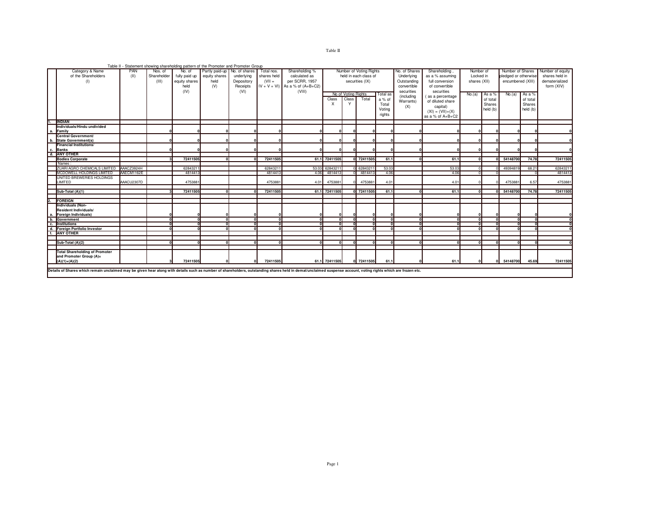## Table II

|    |                                                                                                                                                                                                                |            |             |               | Table II - Statement showing shareholding pattern of the Promoter and Promoter Group |            |               |                    |               |                     |                         |                 |                          |                    |              |          |                      |          |                  |
|----|----------------------------------------------------------------------------------------------------------------------------------------------------------------------------------------------------------------|------------|-------------|---------------|--------------------------------------------------------------------------------------|------------|---------------|--------------------|---------------|---------------------|-------------------------|-----------------|--------------------------|--------------------|--------------|----------|----------------------|----------|------------------|
|    | Category & Name                                                                                                                                                                                                | PAN        | Nos. of     | No. of        | Partly paid-up   No. of shares                                                       |            | Total nos.    | Shareholding %     |               |                     | Number of Voting Rights |                 | No. of Shares            | Shareholding,      | Number of    |          | Number of Shares     |          | Number of equity |
|    | of the Shareholders                                                                                                                                                                                            | (II)       | Shareholder | fully paid up | equity shares                                                                        | underlying | shares held   | calculated as      |               |                     | held in each class of   |                 | Underlying               | as a % assuming    | Locked in    |          | pledged or otherwise |          | shares held in   |
|    | (1)                                                                                                                                                                                                            |            | (III)       | equity shares | held                                                                                 | Depository | $(VII =$      | per SCRR, 1957     |               |                     | securities (IX)         |                 | Outstanding              | full conversion    | shares (XII) |          | encumbered (XIII)    |          | dematerialized   |
|    |                                                                                                                                                                                                                |            |             | held          | (V)                                                                                  | Receipts   | $IV + V + VI$ | As a % of (A+B+C2) |               |                     |                         |                 | convertible              | of convertible     |              |          |                      |          | form (XIV)       |
|    |                                                                                                                                                                                                                |            |             | (IV)          |                                                                                      | (VI)       |               | (VIII)             |               |                     |                         |                 | securities<br>securities |                    |              |          |                      |          |                  |
|    |                                                                                                                                                                                                                |            |             |               |                                                                                      |            |               |                    |               | No of Voting Rights |                         | <b>Total</b> as | (including               | (as a percentage   | No.(a)       | As a %   | No.(a)               | As a %   |                  |
|    |                                                                                                                                                                                                                |            |             |               |                                                                                      |            |               |                    | Class         | Class               | Total                   | a % of          |                          |                    |              | of total |                      | of total |                  |
|    |                                                                                                                                                                                                                |            |             |               |                                                                                      |            |               |                    | $\times$      | Y                   |                         | Total           | Warrants)                | of diluted share   |              | Shares   |                      | Shares   |                  |
|    |                                                                                                                                                                                                                |            |             |               |                                                                                      |            |               |                    |               |                     |                         | Voting          | (X)                      | capital)           |              | held (b) |                      | held (b) |                  |
|    |                                                                                                                                                                                                                |            |             |               |                                                                                      |            |               |                    |               |                     |                         | rights          |                          | $(XI) = (VII)+(X)$ |              |          |                      |          |                  |
|    |                                                                                                                                                                                                                |            |             |               |                                                                                      |            |               |                    |               |                     |                         |                 |                          | as a % of $A+B+C2$ |              |          |                      |          |                  |
|    | <b>INDIAN</b>                                                                                                                                                                                                  |            |             |               |                                                                                      |            |               |                    |               |                     |                         |                 |                          |                    |              |          |                      |          |                  |
|    | Individuals/Hindu undivided                                                                                                                                                                                    |            |             |               |                                                                                      |            |               |                    |               |                     |                         |                 |                          |                    |              |          |                      |          |                  |
| а. | Family                                                                                                                                                                                                         |            |             |               |                                                                                      |            |               |                    | n             |                     |                         |                 |                          |                    |              |          |                      |          |                  |
|    | Central Government/                                                                                                                                                                                            |            |             |               |                                                                                      |            |               |                    |               |                     |                         |                 |                          |                    |              |          |                      |          |                  |
|    | b. State Government(s)                                                                                                                                                                                         |            |             |               |                                                                                      |            |               |                    |               |                     |                         |                 |                          |                    |              |          |                      |          |                  |
|    | <b>Financial Institutions/</b>                                                                                                                                                                                 |            |             |               |                                                                                      |            |               |                    |               |                     |                         |                 |                          |                    |              |          |                      |          |                  |
|    | c. Banks                                                                                                                                                                                                       |            |             |               |                                                                                      |            |               |                    |               |                     |                         |                 |                          |                    |              |          |                      |          |                  |
|    | d. ANY OTHER                                                                                                                                                                                                   |            |             |               |                                                                                      |            |               |                    |               |                     |                         |                 |                          |                    |              |          |                      |          |                  |
|    | <b>Bodies Corporate</b>                                                                                                                                                                                        |            |             | 72411505      |                                                                                      |            | 72411505      | 61.1               | 72411505      |                     | 0 72411505              | 61.             |                          | 61.1               |              |          | 54148700             | 74.78    | 72411505         |
|    | Names:                                                                                                                                                                                                         |            |             |               |                                                                                      |            |               |                    |               |                     |                         |                 |                          |                    |              |          |                      |          |                  |
|    | ZUARI AGRO CHEMICALS LIMITED AAACZ3924H                                                                                                                                                                        |            |             | 62843211      |                                                                                      |            | 6284321       | 53.03              | 62843211      |                     | 0 62843211              | 53.03           |                          | 53.03              | $\sqrt{2}$   |          | 49394819             | 68.21    | 62843211         |
|    | MCDOWELL HOLDINGS LIMITED                                                                                                                                                                                      | AAECM1162E |             | 4814413       |                                                                                      |            | 4814413       | 4.06               | 4814413       |                     | 4814413                 | 4.06            |                          | 4.06               |              |          |                      |          | 4814413          |
|    | UNITED BREWERIES HOLDINGS                                                                                                                                                                                      |            |             |               |                                                                                      |            |               |                    |               |                     |                         |                 |                          |                    |              |          |                      |          |                  |
|    | LIMITED                                                                                                                                                                                                        | AAACU2307D |             | 475388        |                                                                                      |            | 475388        | 4.01               | 4753881       |                     | 4753881                 | $4.0^{\circ}$   |                          | 4.01               |              |          | 475388               | 6.57     | 4753881          |
|    |                                                                                                                                                                                                                |            |             |               |                                                                                      |            |               |                    |               |                     |                         |                 |                          |                    |              |          |                      |          |                  |
|    | Sub-Total (A)(1)                                                                                                                                                                                               |            |             | 72411505      |                                                                                      |            | 72411505      | 61.1               | 72411505      |                     | 0 72411505              | 61.             |                          | 61.1               |              |          | 54148700             | 74.78    | 72411505         |
|    |                                                                                                                                                                                                                |            |             |               |                                                                                      |            |               |                    |               |                     |                         |                 |                          |                    |              |          |                      |          |                  |
|    | <b>FOREIGN</b>                                                                                                                                                                                                 |            |             |               |                                                                                      |            |               |                    |               |                     |                         |                 |                          |                    |              |          |                      |          |                  |
|    | Individuals (Non-                                                                                                                                                                                              |            |             |               |                                                                                      |            |               |                    |               |                     |                         |                 |                          |                    |              |          |                      |          |                  |
|    | Resident Individuals/                                                                                                                                                                                          |            |             |               |                                                                                      |            |               |                    |               |                     |                         |                 |                          |                    |              |          |                      |          |                  |
|    | a. Foreign Individuals)                                                                                                                                                                                        |            |             |               |                                                                                      |            |               |                    |               |                     |                         |                 |                          |                    |              |          |                      |          |                  |
|    | b. Government                                                                                                                                                                                                  |            |             |               |                                                                                      |            |               |                    | $\Omega$      |                     | $\mathbf{r}$            |                 |                          |                    | $\sqrt{2}$   |          |                      |          |                  |
|    | c. Institutions                                                                                                                                                                                                |            |             |               |                                                                                      |            |               |                    | $\Omega$      |                     |                         |                 |                          |                    |              |          |                      |          |                  |
|    | d. Foreign Portfolio Investor                                                                                                                                                                                  |            |             |               |                                                                                      |            |               |                    | nl            |                     |                         |                 |                          |                    |              |          |                      |          |                  |
|    | f. ANY OTHER                                                                                                                                                                                                   |            |             |               |                                                                                      |            |               |                    |               |                     |                         |                 |                          |                    |              |          |                      |          |                  |
|    |                                                                                                                                                                                                                |            |             |               |                                                                                      |            |               |                    |               |                     |                         |                 |                          |                    |              |          |                      |          |                  |
|    | Sub-Total (A)(2)                                                                                                                                                                                               |            |             |               |                                                                                      |            |               |                    | ΩI            |                     |                         |                 |                          |                    |              |          |                      |          |                  |
|    |                                                                                                                                                                                                                |            |             |               |                                                                                      |            |               |                    |               |                     |                         |                 |                          |                    |              |          |                      |          |                  |
|    | <b>Total Shareholding of Promoter</b>                                                                                                                                                                          |            |             |               |                                                                                      |            |               |                    |               |                     |                         |                 |                          |                    |              |          |                      |          |                  |
|    | and Promoter Group (A)=                                                                                                                                                                                        |            |             |               |                                                                                      |            |               |                    |               |                     |                         |                 |                          |                    |              |          |                      |          |                  |
|    | $(A)(1)+(A)(2)$                                                                                                                                                                                                |            |             | 72411505      |                                                                                      |            | 72411505      |                    | 61.1 72411505 |                     | 0 72411505              | 61.             |                          | 61.1               |              |          | 54148700             | 45.69    | 72411505         |
|    |                                                                                                                                                                                                                |            |             |               |                                                                                      |            |               |                    |               |                     |                         |                 |                          |                    |              |          |                      |          |                  |
|    | Details of Shares which remain unclaimed may be given hear along with details such as number of shareholders, outstanding shares held in demat/unclaimed suspense account, voting rights which are frozen etc. |            |             |               |                                                                                      |            |               |                    |               |                     |                         |                 |                          |                    |              |          |                      |          |                  |
|    |                                                                                                                                                                                                                |            |             |               |                                                                                      |            |               |                    |               |                     |                         |                 |                          |                    |              |          |                      |          |                  |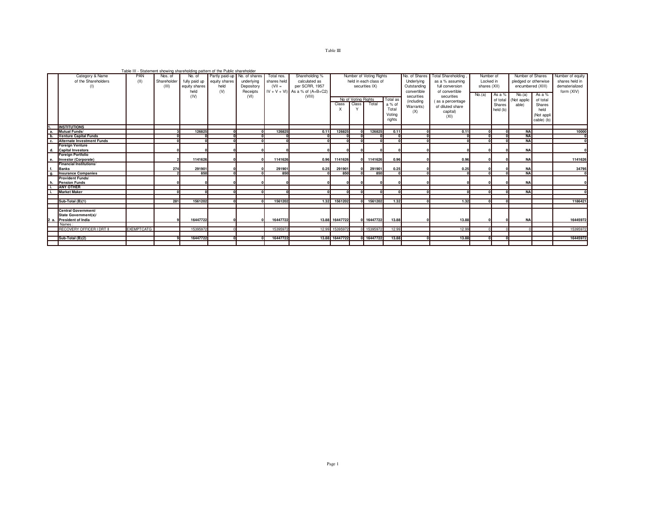|                  |                                   |                   |             |               | Table III - Statement showing shareholding pattern of the Public shareholder |            |             |                                      |                |                     |                         |          |               |                    |           |          |                                   |            |                  |
|------------------|-----------------------------------|-------------------|-------------|---------------|------------------------------------------------------------------------------|------------|-------------|--------------------------------------|----------------|---------------------|-------------------------|----------|---------------|--------------------|-----------|----------|-----------------------------------|------------|------------------|
|                  | Category & Name                   | PAN               | Nos. of     | No. of        | Partly paid-up No. of shares                                                 |            | Total nos.  | Shareholding %                       |                |                     | Number of Voting Rights |          | No. of Shares | Total Shareholding | Number of |          | Number of Shares                  |            | Number of equity |
|                  | of the Shareholders               | (11)              | Shareholder | fully paid up | equity shares                                                                | underlying | shares held | calculated as                        |                |                     | held in each class of   |          | Underlying    | as a % assuming    | Locked in |          | pledged or otherwise              |            | shares held in   |
|                  | (1)                               |                   | (III)       | equity shares | held                                                                         | Depository | $(VII =$    | per SCRR, 1957                       |                |                     | securities (X)          |          | Outstanding   | full conversion    |           |          | encumbered (XIII)<br>shares (XII) |            | dematerialized   |
|                  |                                   |                   |             | held          | (V)                                                                          | Receipts   |             | $IV + V + VI$ ) As a % of $(A+B+C2)$ |                |                     |                         |          | convertible   | of convertible     |           |          |                                   |            | form (XIV)       |
|                  |                                   |                   |             | (IV)          |                                                                              | (VI)       |             | (VIII)                               |                |                     |                         |          | securities    | securities         | No.(a)    | As a %   | No.(a)                            | As a %     |                  |
|                  |                                   |                   |             |               |                                                                              |            |             |                                      |                | No of Voting Rights |                         | Total as | (including    | (as a percentage   |           | of total | (Not applic                       | of total   |                  |
|                  |                                   |                   |             |               |                                                                              |            |             |                                      | Class          | Class               | Total                   | a % of   |               | of diluted share   |           | Shares   | able)                             | Shares     |                  |
|                  |                                   |                   |             |               |                                                                              |            |             |                                      |                |                     |                         | Total    | Warrants)     |                    |           | held (b) |                                   | held       |                  |
|                  |                                   |                   |             |               |                                                                              |            |             |                                      |                |                     |                         | Votina   | (X)           | capital)           |           |          |                                   | (Not appli |                  |
|                  |                                   |                   |             |               |                                                                              |            |             |                                      |                |                     |                         | rights   |               | (XI)               |           |          |                                   | cable) (b) |                  |
|                  |                                   |                   |             |               |                                                                              |            |             |                                      |                |                     |                         |          |               |                    |           |          |                                   |            |                  |
|                  | <b>INSTITUTIONS</b>               |                   |             |               |                                                                              |            |             |                                      |                |                     |                         |          |               |                    |           |          |                                   |            |                  |
| a                | Mutual Funds/                     |                   |             | 126825        |                                                                              |            | 126825      | 0.11                                 | 126825         |                     | 126825                  | 0.11     |               | 0.11               |           |          | <b>NA</b>                         |            | 10000            |
| $\overline{b}$ . | <b>Venture Capital Funds</b>      |                   |             |               |                                                                              |            |             |                                      |                |                     |                         |          |               |                    |           |          | <b>NA</b>                         |            |                  |
| c.               | <b>Alternate Investment Funds</b> |                   |             |               |                                                                              |            |             |                                      |                |                     |                         |          |               |                    |           |          | <b>NA</b>                         |            |                  |
|                  | <b>Foreian Venture</b>            |                   |             |               |                                                                              |            |             |                                      |                |                     |                         |          |               |                    |           |          |                                   |            |                  |
|                  | d. Capital Investors              |                   |             |               |                                                                              |            |             |                                      |                |                     |                         |          |               |                    |           |          | <b>NA</b>                         |            |                  |
|                  | <b>Foreign Portfolio</b>          |                   |             |               |                                                                              |            |             |                                      |                |                     |                         |          |               |                    |           |          |                                   |            |                  |
| е.               | Investor (Corporate)              |                   |             | 1141626       |                                                                              |            | 1141626     | 0.96                                 | 1141626        |                     | 1141626                 | 0.96     |               | 0.96               |           |          | <b>NA</b>                         |            | 1141626          |
|                  | Financial Institutions/           |                   |             |               |                                                                              |            |             |                                      |                |                     |                         |          |               |                    |           |          |                                   |            |                  |
| f.               | Banks                             |                   | 274         | 291901        |                                                                              |            | 291901      | 0.25                                 | 291901         |                     | 291901                  | 0.25     |               | 0.25               |           |          | <b>NA</b>                         |            | 34795            |
| $\overline{g}$ . | <b>Insurance Companies</b>        |                   |             | 850           |                                                                              |            | 850         |                                      | 850            |                     | 850                     |          |               |                    |           |          | <b>NA</b>                         |            |                  |
|                  | <b>Provident Funds/</b>           |                   |             |               |                                                                              |            |             |                                      |                |                     |                         |          |               |                    |           |          |                                   |            |                  |
| h.               | <b>Pension Funds</b>              |                   |             |               |                                                                              |            |             |                                      |                |                     |                         |          |               |                    |           |          | <b>NA</b>                         |            |                  |
|                  | <b>ANY OTHER</b>                  |                   |             |               |                                                                              |            |             |                                      |                |                     |                         |          |               |                    |           |          |                                   |            |                  |
|                  | <b>Market Maker</b>               |                   |             |               |                                                                              |            |             |                                      |                |                     |                         |          |               |                    |           |          | <b>NA</b>                         |            |                  |
|                  |                                   |                   |             |               |                                                                              |            |             |                                      |                |                     |                         |          |               |                    |           |          |                                   |            |                  |
|                  | Sub-Total (B)(1)                  |                   | 281         | 1561202       |                                                                              |            | 1561202     |                                      | 1.32 1561202   |                     | 0 1561202               | 1.32     |               | 1.32               |           |          |                                   |            | 1186421          |
|                  |                                   |                   |             |               |                                                                              |            |             |                                      |                |                     |                         |          |               |                    |           |          |                                   |            |                  |
|                  | Central Government/               |                   |             |               |                                                                              |            |             |                                      |                |                     |                         |          |               |                    |           |          |                                   |            |                  |
|                  | State Government(s)/              |                   |             |               |                                                                              |            |             |                                      |                |                     |                         |          |               |                    |           |          |                                   |            |                  |
| 2 a.             | <b>President of India</b>         |                   |             | 16447722      |                                                                              |            | 16447722    |                                      | 13.88 16447722 |                     | 0 16447722              | 13.88    |               | 13.88              |           |          | <b>NA</b>                         |            | 16445972         |
|                  | Names:                            |                   |             |               |                                                                              |            |             |                                      |                |                     |                         |          |               |                    |           |          |                                   |            |                  |
|                  | RECOVERY OFFICER I DRT II         | <b>EXEMPTCATG</b> |             | 15395972      |                                                                              |            | 15395972    |                                      | 12.99 15395972 |                     | 0 15395972              | 12.99    |               | 12.99              |           |          |                                   |            | 15395972         |
|                  |                                   |                   |             |               |                                                                              |            |             |                                      |                |                     |                         |          |               |                    |           |          |                                   |            |                  |
|                  | Sub-Total (B)(2)                  |                   |             | 16447722      |                                                                              |            | 16447722    |                                      | 13.88 16447722 |                     | 0 16447722              | 13.88    |               | 13.88              |           |          |                                   |            | 16445972         |
|                  |                                   |                   |             |               |                                                                              |            |             |                                      |                |                     |                         |          |               |                    |           |          |                                   |            |                  |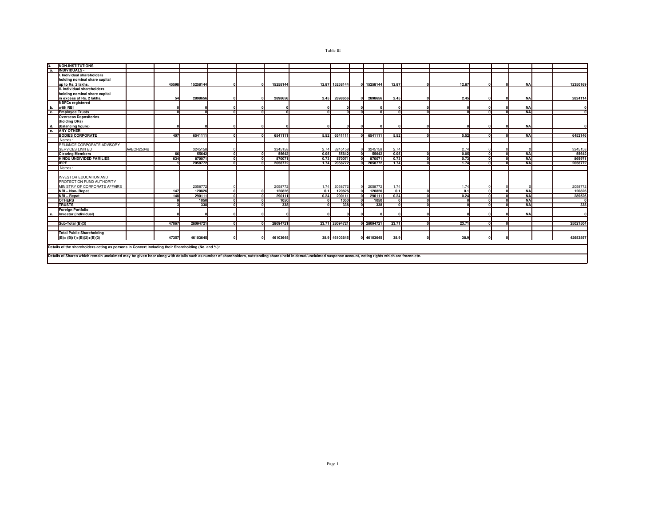|              | NON-INSTITUTIONS                                                                                                                                                                                               |            |       |          |  |  |          |          |                |                |            |       |  |            |            |           |          |
|--------------|----------------------------------------------------------------------------------------------------------------------------------------------------------------------------------------------------------------|------------|-------|----------|--|--|----------|----------|----------------|----------------|------------|-------|--|------------|------------|-----------|----------|
|              | <b>INDIVIDUALS-</b>                                                                                                                                                                                            |            |       |          |  |  |          |          |                |                |            |       |  |            |            |           |          |
|              | I. Individual shareholders                                                                                                                                                                                     |            |       |          |  |  |          |          |                |                |            |       |  |            |            |           |          |
|              | holding nominal share capital                                                                                                                                                                                  |            |       |          |  |  |          |          |                |                |            |       |  |            |            |           |          |
|              | up to Rs. 2 lakhs.                                                                                                                                                                                             |            | 45598 | 15258144 |  |  | 15258144 | 12.87    | 15258144       |                | 15258144   | 12.87 |  | 12.87      |            | <b>NA</b> | 12350169 |
|              | II. Individual shareholders                                                                                                                                                                                    |            |       |          |  |  |          |          |                |                |            |       |  |            |            |           |          |
|              | holding nominal share capital                                                                                                                                                                                  |            |       |          |  |  |          |          |                |                |            |       |  |            |            |           |          |
|              | in excess of Rs. 2 lakhs.                                                                                                                                                                                      |            | 54    | 2898656  |  |  | 2898656  | 2.45     | 2898656        |                | 2898656    | 2.45  |  | 2.45       |            | <b>NA</b> | 2824114  |
|              | <b>NBFCs registered</b>                                                                                                                                                                                        |            |       |          |  |  |          |          |                |                |            |       |  |            |            |           |          |
| b.           | with RBI                                                                                                                                                                                                       |            |       |          |  |  |          |          |                |                |            |       |  |            |            | <b>NA</b> |          |
| c.           | <b>Employee Trusts</b>                                                                                                                                                                                         |            |       | n        |  |  |          | $\Omega$ |                | $\overline{ }$ |            |       |  | n          | 3          | <b>NA</b> |          |
|              | <b>Overseas Depositories</b>                                                                                                                                                                                   |            |       |          |  |  |          |          |                |                |            |       |  |            |            |           |          |
|              | (holding DRs)                                                                                                                                                                                                  |            |       |          |  |  |          |          |                |                |            |       |  |            |            |           |          |
| d.           | (balancing figure)                                                                                                                                                                                             |            |       |          |  |  |          |          |                |                |            |       |  |            |            | <b>NA</b> |          |
| е.           | <b>ANY OTHER</b>                                                                                                                                                                                               |            |       |          |  |  |          |          |                |                |            |       |  |            |            |           |          |
|              | <b>BODIES CORPORATE</b>                                                                                                                                                                                        |            | 407   | 6541111  |  |  | 6541111  | 5.52     | 6541111        |                | 6541111    | 5.52  |  | 5.52       |            | <b>NA</b> | 6452146  |
|              | Names:                                                                                                                                                                                                         |            |       |          |  |  |          |          |                |                |            |       |  |            |            |           |          |
|              | RELIANCE CORPORATE ADVISORY                                                                                                                                                                                    |            |       |          |  |  |          |          |                |                |            |       |  |            |            |           |          |
|              | SERVICES LIMITED                                                                                                                                                                                               | AAECR2504B |       | 3245158  |  |  | 3245158  | 2.74     | 3245158        |                | 3245158    | 2.74  |  | 2.74       |            |           | 3245158  |
|              | <b>Clearing Members</b>                                                                                                                                                                                        |            | 66    | 55642    |  |  | 55642    | 0.05     | 55642          |                | 55642      | 0.05  |  | 0.05       | $\sim$     | <b>NA</b> | 55642    |
|              | HINDU UNDIVIDED FAMILIES                                                                                                                                                                                       |            | 634   | 870071   |  |  | 870071   | 0.73     | 870071         |                | 870071     | 0.73  |  | 0.73       |            | <b>NA</b> | 869971   |
|              | <b>IEPF</b>                                                                                                                                                                                                    |            |       | 2058772  |  |  | 2058772  | 1.74     | 2058772        |                | 2058772    | 1.74  |  | 1.74       |            | <b>NA</b> | 2058772  |
|              | Names:                                                                                                                                                                                                         |            |       |          |  |  |          |          |                |                |            |       |  |            |            |           |          |
|              |                                                                                                                                                                                                                |            |       |          |  |  |          |          |                |                |            |       |  |            |            |           |          |
|              | <b>INVESTOR EDUCATION AND</b>                                                                                                                                                                                  |            |       |          |  |  |          |          |                |                |            |       |  |            |            |           |          |
|              | PROTECTION FUND AUTHORITY                                                                                                                                                                                      |            |       |          |  |  |          |          |                |                |            |       |  |            |            |           |          |
|              | MINISTRY OF CORPORATE AFFAIRS                                                                                                                                                                                  |            |       | 2058772  |  |  | 2058772  | 1.74     | 2058772        |                | 2058772    | 1.74  |  | 1.74       |            |           | 2058772  |
|              | NRI - Non-Repat                                                                                                                                                                                                |            | 147   | 120826   |  |  | 120826   | 0.1      | 120826         |                | 120826     | 0.1   |  | 01         | $\sqrt{2}$ | <b>NA</b> | 120826   |
|              | NRI - Repat                                                                                                                                                                                                    |            | 148   | 290111   |  |  | 290111   | 0.24     | 290111         |                | 290111     | 0.24  |  | 0.24       | n          | <b>NA</b> | 289526   |
|              | <b>OTHERS</b>                                                                                                                                                                                                  |            |       | 1050     |  |  | 1050     |          | 1050           |                | 1050       |       |  | $\Omega$   |            | <b>NA</b> |          |
|              | <b>TRUSTS</b>                                                                                                                                                                                                  |            |       | 338      |  |  | 338      |          | 338            |                | 338        |       |  | $\sqrt{2}$ |            | <b>NA</b> | 338      |
|              | <b>Foreign Portfolio</b>                                                                                                                                                                                       |            |       |          |  |  |          |          |                |                |            |       |  |            |            |           |          |
| $\mathbf{r}$ | Investor (Individual)                                                                                                                                                                                          |            |       |          |  |  |          |          |                |                |            |       |  |            |            | <b>NA</b> |          |
|              |                                                                                                                                                                                                                |            |       |          |  |  |          |          |                |                |            |       |  |            |            |           |          |
|              | Sub-Total (B)(3)                                                                                                                                                                                               |            | 47067 | 28094721 |  |  | 28094721 |          | 23.71 28094721 |                | 0 28094721 | 23.71 |  | 23.71      |            |           | 25021504 |
|              |                                                                                                                                                                                                                |            |       |          |  |  |          |          |                |                |            |       |  |            |            |           |          |
|              | <b>Total Public Shareholding</b>                                                                                                                                                                               |            |       |          |  |  |          |          |                |                |            |       |  |            |            |           |          |
|              | $(B)=(B)(1)+(B)(2)+(B)(3)$                                                                                                                                                                                     |            | 47357 | 46103645 |  |  | 46103645 |          | 38.9 46103645  |                | 0 46103645 | 38.9  |  | 38.9       |            |           | 42653897 |
|              |                                                                                                                                                                                                                |            |       |          |  |  |          |          |                |                |            |       |  |            |            |           |          |
|              | Details of the shareholders acting as persons in Concert including their Shareholding (No. and %):                                                                                                             |            |       |          |  |  |          |          |                |                |            |       |  |            |            |           |          |
|              |                                                                                                                                                                                                                |            |       |          |  |  |          |          |                |                |            |       |  |            |            |           |          |
|              | Details of Shares which remain unclaimed may be given hear along with details such as number of shareholders, outstanding shares held in demat/unclaimed suspense account, voting rights which are frozen etc. |            |       |          |  |  |          |          |                |                |            |       |  |            |            |           |          |
|              |                                                                                                                                                                                                                |            |       |          |  |  |          |          |                |                |            |       |  |            |            |           |          |

## Table  $\rm III$